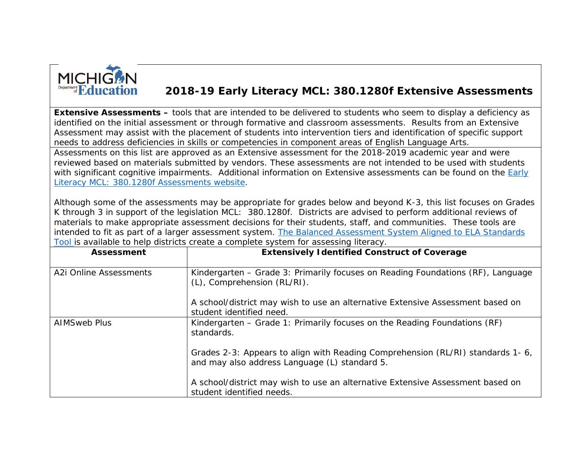

## **2018-19 Early Literacy MCL: 380.1280f Extensive Assessments**

**Extensive Assessments** *– tools that are intended to be delivered to students who seem to display a deficiency as identified on the initial assessment or through formative and classroom assessments. Results from an Extensive Assessment may assist with the placement of students into intervention tiers and identification of specific support needs to address deficiencies in skills or competencies in component areas of English Language Arts.* Assessments on this list are approved as an Extensive assessment for the 2018-2019 academic year and were reviewed based on materials submitted by vendors. These assessments are not intended to be used with students with significant cognitive impairments. Additional information on Extensive assessments can be found on the Early [Literacy MCL: 380.1280f Assessments website.](https://www.michigan.gov/mde/0,4615,7-140-28753_74161-410821--,00.html)

Although some of the assessments may be appropriate for grades below and beyond K-3, this list focuses on Grades K through 3 in support of the legislation MCL: 380.1280f. Districts are advised to perform additional reviews of materials to make appropriate assessment decisions for their students, staff, and communities. These tools are intended to fit as part of a larger assessment system. [The Balanced Assessment System Aligned to ELA Standards](http://www.michigan.gov/documents/mde/Copy_of_Balanced_Assessments_System_Aligned_to_Standards_for_Early_Literacy_Tool_4.9.2018_621410_7.xlsx)  [Tool i](http://www.michigan.gov/documents/mde/Copy_of_Balanced_Assessments_System_Aligned_to_Standards_for_Early_Literacy_Tool_4.9.2018_621410_7.xlsx)s available to help districts create a complete system for assessing literacy.

| Assessment             | <b>Extensively Identified Construct of Coverage</b>                                                                             |
|------------------------|---------------------------------------------------------------------------------------------------------------------------------|
| A2i Online Assessments | Kindergarten – Grade 3: Primarily focuses on Reading Foundations (RF), Language<br>(L), Comprehension (RL/RI).                  |
|                        | A school/district may wish to use an alternative Extensive Assessment based on<br>student identified need.                      |
| <b>AIMSweb Plus</b>    | Kindergarten – Grade 1: Primarily focuses on the Reading Foundations (RF)<br>standards.                                         |
|                        | Grades 2-3: Appears to align with Reading Comprehension (RL/RI) standards 1-6,<br>and may also address Language (L) standard 5. |
|                        | A school/district may wish to use an alternative Extensive Assessment based on<br>student identified needs.                     |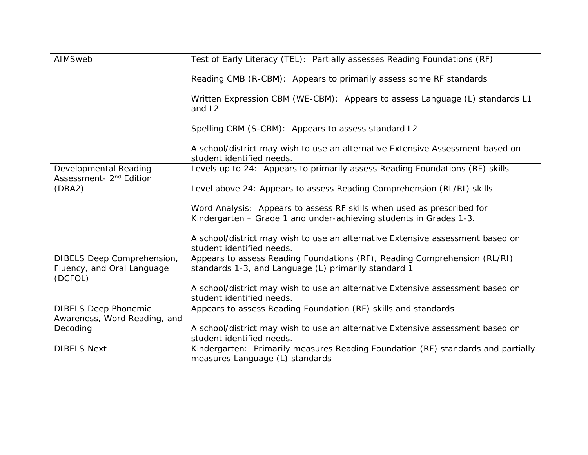| AIMSweb                                                      | Test of Early Literacy (TEL): Partially assesses Reading Foundations (RF)                                                         |
|--------------------------------------------------------------|-----------------------------------------------------------------------------------------------------------------------------------|
|                                                              | Reading CMB (R-CBM): Appears to primarily assess some RF standards                                                                |
|                                                              | Written Expression CBM (WE-CBM): Appears to assess Language (L) standards L1<br>and L <sub>2</sub>                                |
|                                                              | Spelling CBM (S-CBM): Appears to assess standard L2                                                                               |
|                                                              | A school/district may wish to use an alternative Extensive Assessment based on<br>student identified needs.                       |
| Developmental Reading<br>Assessment- 2 <sup>nd</sup> Edition | Levels up to 24: Appears to primarily assess Reading Foundations (RF) skills                                                      |
| (DRA2)                                                       | Level above 24: Appears to assess Reading Comprehension (RL/RI) skills                                                            |
|                                                              | Word Analysis: Appears to assess RF skills when used as prescribed for                                                            |
|                                                              | Kindergarten - Grade 1 and under-achieving students in Grades 1-3.                                                                |
|                                                              | A school/district may wish to use an alternative Extensive assessment based on<br>student identified needs.                       |
| DIBELS Deep Comprehension,<br>Fluency, and Oral Language     | Appears to assess Reading Foundations (RF), Reading Comprehension (RL/RI)<br>standards 1-3, and Language (L) primarily standard 1 |
| (DCFOL)                                                      | A school/district may wish to use an alternative Extensive assessment based on<br>student identified needs.                       |
| <b>DIBELS Deep Phonemic</b><br>Awareness, Word Reading, and  | Appears to assess Reading Foundation (RF) skills and standards                                                                    |
| Decoding                                                     | A school/district may wish to use an alternative Extensive assessment based on<br>student identified needs.                       |
| <b>DIBELS Next</b>                                           | Kindergarten: Primarily measures Reading Foundation (RF) standards and partially<br>measures Language (L) standards               |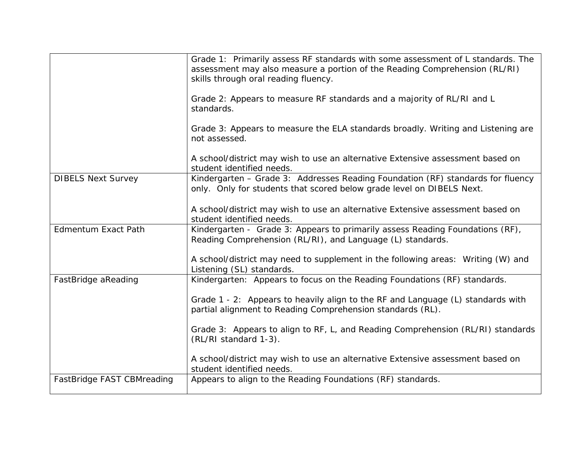|                            | Grade 1: Primarily assess RF standards with some assessment of L standards. The<br>assessment may also measure a portion of the Reading Comprehension (RL/RI)<br>skills through oral reading fluency.<br>Grade 2: Appears to measure RF standards and a majority of RL/RI and L<br>standards.<br>Grade 3: Appears to measure the ELA standards broadly. Writing and Listening are |
|----------------------------|-----------------------------------------------------------------------------------------------------------------------------------------------------------------------------------------------------------------------------------------------------------------------------------------------------------------------------------------------------------------------------------|
|                            | not assessed.<br>A school/district may wish to use an alternative Extensive assessment based on<br>student identified needs.                                                                                                                                                                                                                                                      |
| <b>DIBELS Next Survey</b>  | Kindergarten - Grade 3: Addresses Reading Foundation (RF) standards for fluency<br>only. Only for students that scored below grade level on DIBELS Next.<br>A school/district may wish to use an alternative Extensive assessment based on                                                                                                                                        |
|                            | student identified needs.                                                                                                                                                                                                                                                                                                                                                         |
| <b>Edmentum Exact Path</b> | Kindergarten - Grade 3: Appears to primarily assess Reading Foundations (RF),<br>Reading Comprehension (RL/RI), and Language (L) standards.                                                                                                                                                                                                                                       |
|                            | A school/district may need to supplement in the following areas: Writing (W) and<br>Listening (SL) standards.                                                                                                                                                                                                                                                                     |
| FastBridge aReading        | Kindergarten: Appears to focus on the Reading Foundations (RF) standards.                                                                                                                                                                                                                                                                                                         |
|                            | Grade 1 - 2: Appears to heavily align to the RF and Language (L) standards with<br>partial alignment to Reading Comprehension standards (RL).                                                                                                                                                                                                                                     |
|                            | Grade 3: Appears to align to RF, L, and Reading Comprehension (RL/RI) standards<br>(RL/RI standard 1-3).                                                                                                                                                                                                                                                                          |
|                            | A school/district may wish to use an alternative Extensive assessment based on<br>student identified needs.                                                                                                                                                                                                                                                                       |
| FastBridge FAST CBMreading | Appears to align to the Reading Foundations (RF) standards.                                                                                                                                                                                                                                                                                                                       |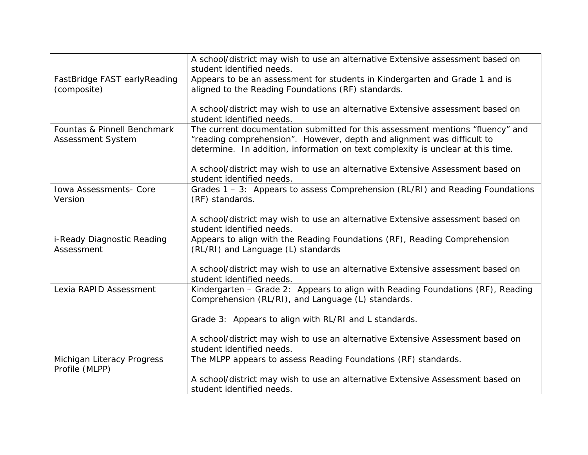|                                              | A school/district may wish to use an alternative Extensive assessment based on<br>student identified needs.                           |
|----------------------------------------------|---------------------------------------------------------------------------------------------------------------------------------------|
| FastBridge FAST earlyReading                 | Appears to be an assessment for students in Kindergarten and Grade 1 and is                                                           |
| (composite)                                  | aligned to the Reading Foundations (RF) standards.                                                                                    |
|                                              |                                                                                                                                       |
|                                              | A school/district may wish to use an alternative Extensive assessment based on<br>student identified needs.                           |
| Fountas & Pinnell Benchmark                  | The current documentation submitted for this assessment mentions "fluency" and                                                        |
| <b>Assessment System</b>                     | "reading comprehension". However, depth and alignment was difficult to                                                                |
|                                              | determine. In addition, information on text complexity is unclear at this time.                                                       |
|                                              | A school/district may wish to use an alternative Extensive Assessment based on                                                        |
|                                              | student identified needs.                                                                                                             |
| <b>Iowa Assessments- Core</b>                | Grades 1 – 3: Appears to assess Comprehension (RL/RI) and Reading Foundations                                                         |
| Version                                      | (RF) standards.                                                                                                                       |
|                                              |                                                                                                                                       |
|                                              | A school/district may wish to use an alternative Extensive assessment based on<br>student identified needs.                           |
| i-Ready Diagnostic Reading                   | Appears to align with the Reading Foundations (RF), Reading Comprehension                                                             |
| Assessment                                   | (RL/RI) and Language (L) standards                                                                                                    |
|                                              |                                                                                                                                       |
|                                              | A school/district may wish to use an alternative Extensive assessment based on                                                        |
|                                              | student identified needs.                                                                                                             |
| Lexia RAPID Assessment                       | Kindergarten - Grade 2: Appears to align with Reading Foundations (RF), Reading<br>Comprehension (RL/RI), and Language (L) standards. |
|                                              |                                                                                                                                       |
|                                              | Grade 3: Appears to align with RL/RI and L standards.                                                                                 |
|                                              |                                                                                                                                       |
|                                              | A school/district may wish to use an alternative Extensive Assessment based on                                                        |
|                                              | student identified needs.                                                                                                             |
| Michigan Literacy Progress<br>Profile (MLPP) | The MLPP appears to assess Reading Foundations (RF) standards.                                                                        |
|                                              | A school/district may wish to use an alternative Extensive Assessment based on                                                        |
|                                              | student identified needs.                                                                                                             |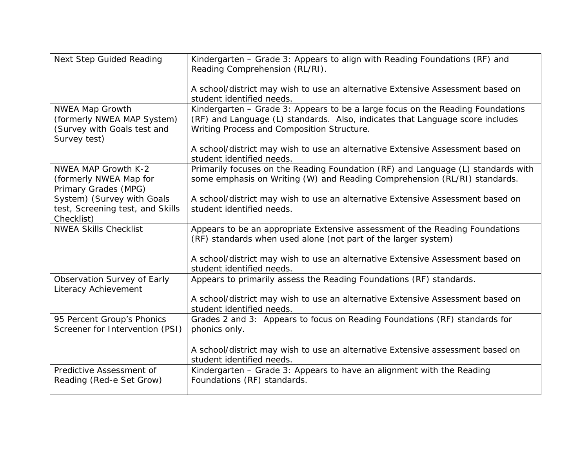| <b>Next Step Guided Reading</b>                                                                     | Kindergarten - Grade 3: Appears to align with Reading Foundations (RF) and<br>Reading Comprehension (RL/RI).                                                                                                  |
|-----------------------------------------------------------------------------------------------------|---------------------------------------------------------------------------------------------------------------------------------------------------------------------------------------------------------------|
|                                                                                                     | A school/district may wish to use an alternative Extensive Assessment based on<br>student identified needs.                                                                                                   |
| <b>NWEA Map Growth</b><br>(formerly NWEA MAP System)<br>(Survey with Goals test and<br>Survey test) | Kindergarten - Grade 3: Appears to be a large focus on the Reading Foundations<br>(RF) and Language (L) standards. Also, indicates that Language score includes<br>Writing Process and Composition Structure. |
|                                                                                                     | A school/district may wish to use an alternative Extensive Assessment based on<br>student identified needs.                                                                                                   |
| <b>NWEA MAP Growth K-2</b><br>(formerly NWEA Map for<br>Primary Grades (MPG)                        | Primarily focuses on the Reading Foundation (RF) and Language (L) standards with<br>some emphasis on Writing (W) and Reading Comprehension (RL/RI) standards.                                                 |
| System) (Survey with Goals<br>test, Screening test, and Skills<br>Checklist)                        | A school/district may wish to use an alternative Extensive Assessment based on<br>student identified needs.                                                                                                   |
| <b>NWEA Skills Checklist</b>                                                                        | Appears to be an appropriate Extensive assessment of the Reading Foundations<br>(RF) standards when used alone (not part of the larger system)                                                                |
|                                                                                                     | A school/district may wish to use an alternative Extensive Assessment based on<br>student identified needs.                                                                                                   |
| Observation Survey of Early<br>Literacy Achievement                                                 | Appears to primarily assess the Reading Foundations (RF) standards.                                                                                                                                           |
|                                                                                                     | A school/district may wish to use an alternative Extensive Assessment based on<br>student identified needs.                                                                                                   |
| 95 Percent Group's Phonics<br>Screener for Intervention (PSI)                                       | Grades 2 and 3: Appears to focus on Reading Foundations (RF) standards for<br>phonics only.                                                                                                                   |
|                                                                                                     | A school/district may wish to use an alternative Extensive assessment based on<br>student identified needs.                                                                                                   |
| Predictive Assessment of<br>Reading (Red-e Set Grow)                                                | Kindergarten - Grade 3: Appears to have an alignment with the Reading<br>Foundations (RF) standards.                                                                                                          |